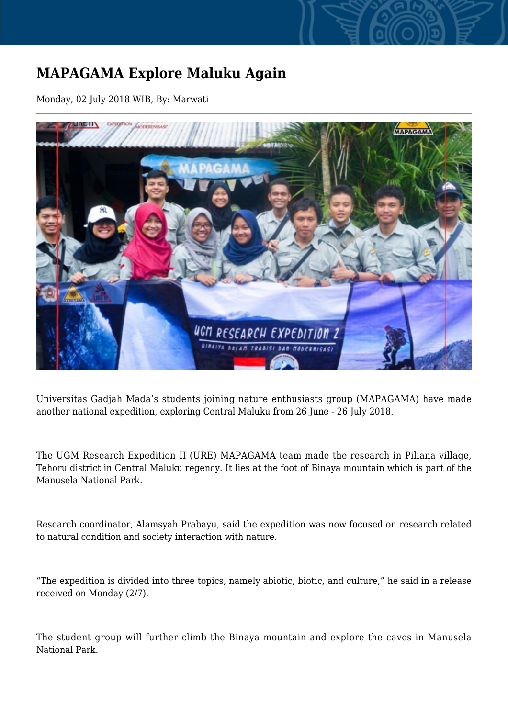## **MAPAGAMA Explore Maluku Again**

Monday, 02 July 2018 WIB, By: Marwati



Universitas Gadjah Mada's students joining nature enthusiasts group (MAPAGAMA) have made another national expedition, exploring Central Maluku from 26 June - 26 July 2018.

The UGM Research Expedition II (URE) MAPAGAMA team made the research in Piliana village, Tehoru district in Central Maluku regency. It lies at the foot of Binaya mountain which is part of the Manusela National Park.

Research coordinator, Alamsyah Prabayu, said the expedition was now focused on research related to natural condition and society interaction with nature.

"The expedition is divided into three topics, namely abiotic, biotic, and culture," he said in a release received on Monday (2/7).

The student group will further climb the Binaya mountain and explore the caves in Manusela National Park.